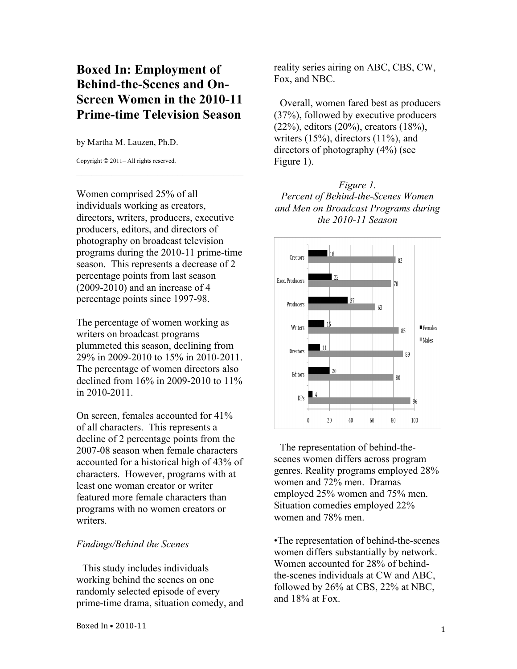## **Boxed In: Employment of Behind-the-Scenes and On-Screen Women in the 2010-11 Prime-time Television Season**

by Martha M. Lauzen, Ph.D.

Copyright © 2011– All rights reserved.

Women comprised 25% of all individuals working as creators, directors, writers, producers, executive producers, editors, and directors of photography on broadcast television programs during the 2010-11 prime-time season. This represents a decrease of 2 percentage points from last season (2009-2010) and an increase of 4 percentage points since 1997-98.

 $\mathcal{L}_\text{max}$  , where  $\mathcal{L}_\text{max}$  is the set of the set of the set of the set of the set of the set of the set of the set of the set of the set of the set of the set of the set of the set of the set of the set of the se

The percentage of women working as writers on broadcast programs plummeted this season, declining from 29% in 2009-2010 to 15% in 2010-2011. The percentage of women directors also declined from 16% in 2009-2010 to 11% in 2010-2011.

On screen, females accounted for 41% of all characters. This represents a decline of 2 percentage points from the 2007-08 season when female characters accounted for a historical high of 43% of characters. However, programs with at least one woman creator or writer featured more female characters than programs with no women creators or writers.

## *Findings/Behind the Scenes*

This study includes individuals working behind the scenes on one randomly selected episode of every prime-time drama, situation comedy, and reality series airing on ABC, CBS, CW, Fox, and NBC.

Overall, women fared best as producers (37%), followed by executive producers (22%), editors (20%), creators (18%), writers  $(15\%)$ , directors  $(11\%)$ , and directors of photography (4%) (see Figure 1).

*Figure 1. Percent of Behind-the-Scenes Women and Men on Broadcast Programs during the 2010-11 Season*



The representation of behind-thescenes women differs across program genres. Reality programs employed 28% women and 72% men. Dramas employed 25% women and 75% men. Situation comedies employed 22% women and 78% men.

•The representation of behind-the-scenes women differs substantially by network. Women accounted for 28% of behindthe-scenes individuals at CW and ABC, followed by 26% at CBS, 22% at NBC, and 18% at Fox.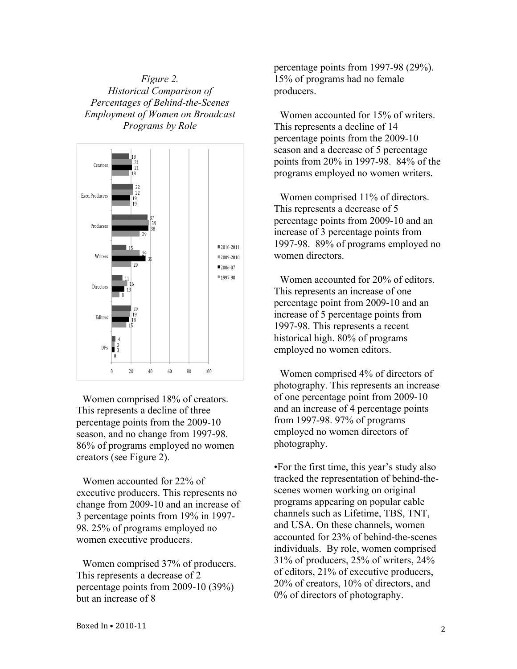*Figure 2. Historical Comparison of Percentages of Behind-the-Scenes Employment of Women on Broadcast Programs by Role*



Women comprised 18% of creators. This represents a decline of three percentage points from the 2009-10 season, and no change from 1997-98. 86% of programs employed no women creators (see Figure 2).

Women accounted for 22% of executive producers. This represents no change from 2009-10 and an increase of 3 percentage points from 19% in 1997- 98. 25% of programs employed no women executive producers.

Women comprised 37% of producers. This represents a decrease of 2 percentage points from 2009-10 (39%) but an increase of 8

percentage points from 1997-98 (29%). 15% of programs had no female producers.

Women accounted for 15% of writers. This represents a decline of 14 percentage points from the 2009-10 season and a decrease of 5 percentage points from 20% in 1997-98. 84% of the programs employed no women writers.

Women comprised 11% of directors. This represents a decrease of 5 percentage points from 2009-10 and an increase of 3 percentage points from 1997-98. 89% of programs employed no women directors.

Women accounted for 20% of editors. This represents an increase of one percentage point from 2009-10 and an increase of 5 percentage points from 1997-98. This represents a recent historical high. 80% of programs employed no women editors.

Women comprised 4% of directors of photography. This represents an increase of one percentage point from 2009-10 and an increase of 4 percentage points from 1997-98. 97% of programs employed no women directors of photography.

•For the first time, this year's study also tracked the representation of behind-thescenes women working on original programs appearing on popular cable channels such as Lifetime, TBS, TNT, and USA. On these channels, women accounted for 23% of behind-the-scenes individuals. By role, women comprised 31% of producers, 25% of writers, 24% of editors, 21% of executive producers, 20% of creators, 10% of directors, and 0% of directors of photography.